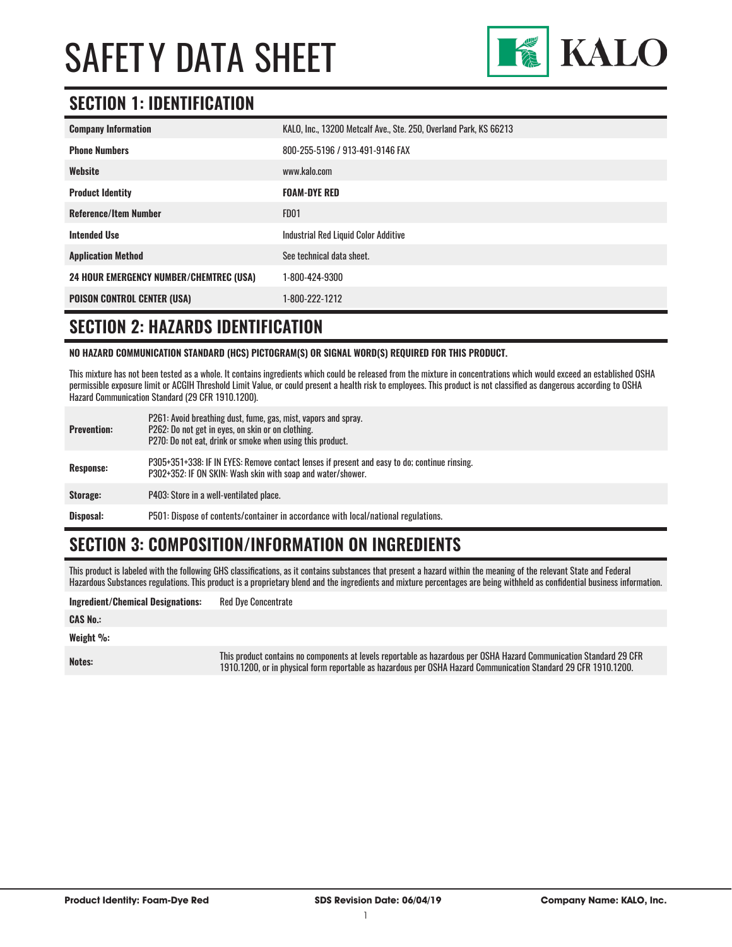

# **SECTION 1: IDENTIFICATION**

| <b>Company Information</b>                     | KALO, Inc., 13200 Metcalf Ave., Ste. 250, Overland Park, KS 66213 |
|------------------------------------------------|-------------------------------------------------------------------|
| <b>Phone Numbers</b>                           | 800-255-5196 / 913-491-9146 FAX                                   |
| Website                                        | www.kalo.com                                                      |
| <b>Product Identity</b>                        | <b>FOAM-DYE RED</b>                                               |
| <b>Reference/Item Number</b>                   | <b>FD01</b>                                                       |
| <b>Intended Use</b>                            | Industrial Red Liquid Color Additive                              |
| <b>Application Method</b>                      | See technical data sheet.                                         |
| <b>24 HOUR EMERGENCY NUMBER/CHEMTREC (USA)</b> | 1-800-424-9300                                                    |
| <b>POISON CONTROL CENTER (USA)</b>             | 1-800-222-1212                                                    |

#### **SECTION 2: HAZARDS IDENTIFICATION**

**NO HAZARD COMMUNICATION STANDARD (HCS) PICTOGRAM(S) OR SIGNAL WORD(S) REQUIRED FOR THIS PRODUCT.**

This mixture has not been tested as a whole. It contains ingredients which could be released from the mixture in concentrations which would exceed an established OSHA permissible exposure limit or ACGIH Threshold Limit Value, or could present a health risk to employees. This product is not classified as dangerous according to OSHA Hazard Communication Standard (29 CFR 1910.1200).

| <b>Prevention:</b> | P261: Avoid breathing dust, fume, gas, mist, vapors and spray.<br>P262: Do not get in eyes, on skin or on clothing.<br>P270: Do not eat, drink or smoke when using this product. |
|--------------------|----------------------------------------------------------------------------------------------------------------------------------------------------------------------------------|
| <b>Response:</b>   | P305+351+338: IF IN EYES: Remove contact lenses if present and easy to do; continue rinsing.<br>P302+352: IF ON SKIN: Wash skin with soap and water/shower.                      |
| Storage:           | P403: Store in a well-ventilated place.                                                                                                                                          |
| Disposal:          | P501: Dispose of contents/container in accordance with local/national regulations.                                                                                               |

### **SECTION 3: COMPOSITION/INFORMATION ON INGREDIENTS**

This product is labeled with the following GHS classifications, as it contains substances that present a hazard within the meaning of the relevant State and Federal Hazardous Substances regulations. This product is a proprietary blend and the ingredients and mixture percentages are being withheld as confidential business information.

#### **Ingredient/Chemical Designations:** Red Dye Concentrate

#### **CAS No.:**

**Weight %:**

**Notes:** This product contains no components at levels reportable as hazardous per OSHA Hazard Communication Standard 29 CFR 1910.1200, or in physical form reportable as hazardous per OSHA Hazard Communication Standard 29 CFR 1910.1200.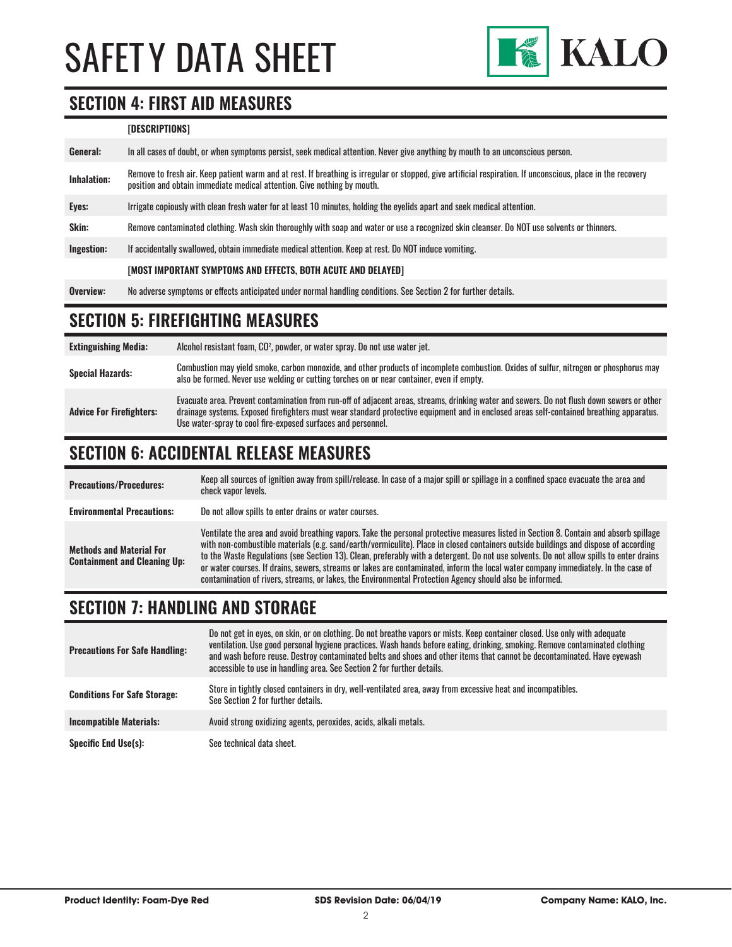# SAFETY DATA SHEET



### **SECTION 4: FIRST AID MEASURES**

#### **[DESCRIPTIONS]**

| General:           | In all cases of doubt, or when symptoms persist, seek medical attention. Never give anything by mouth to an unconscious person.                                                                                                         |
|--------------------|-----------------------------------------------------------------------------------------------------------------------------------------------------------------------------------------------------------------------------------------|
| <b>Inhalation:</b> | Remove to fresh air. Keep patient warm and at rest. If breathing is irregular or stopped, give artificial respiration. If unconscious, place in the recovery<br>position and obtain immediate medical attention. Give nothing by mouth. |
| Eyes:              | Irrigate copiously with clean fresh water for at least 10 minutes, holding the eyelids apart and seek medical attention.                                                                                                                |
| Skin:              | Remove contaminated clothing. Wash skin thoroughly with soap and water or use a recognized skin cleanser. Do NOT use solvents or thinners.                                                                                              |
| Ingestion:         | If accidentally swallowed, obtain immediate medical attention. Keep at rest, Do NOT induce vomiting.                                                                                                                                    |
|                    | [MOST IMPORTANT SYMPTOMS AND EFFECTS, BOTH ACUTE AND DELAYED]                                                                                                                                                                           |
| Overview:          | No adverse symptoms or effects anticipated under normal handling conditions. See Section 2 for further details.                                                                                                                         |

### **SECTION 5: FIREFIGHTING MEASURES**

| <b>Extinguishing Media:</b>     | Alcohol resistant foam, CO <sup>2</sup> , powder, or water spray. Do not use water jet.                                                                                                                                                                                                                                                                |
|---------------------------------|--------------------------------------------------------------------------------------------------------------------------------------------------------------------------------------------------------------------------------------------------------------------------------------------------------------------------------------------------------|
| <b>Special Hazards:</b>         | Combustion may yield smoke, carbon monoxide, and other products of incomplete combustion. Oxides of sulfur, nitrogen or phosphorus may<br>also be formed. Never use welding or cutting torches on or near container, even if empty.                                                                                                                    |
| <b>Advice For Firefighters:</b> | Evacuate area. Prevent contamination from run-off of adjacent areas, streams, drinking water and sewers. Do not flush down sewers or other<br>drainage systems. Exposed firefighters must wear standard protective equipment and in enclosed areas self-contained breathing apparatus.<br>Use water-spray to cool fire-exposed surfaces and personnel. |

# **SECTION 6: ACCIDENTAL RELEASE MEASURES**

| <b>Precautions/Procedures:</b>                                         | Keep all sources of ignition away from spill/release. In case of a major spill or spillage in a confined space evacuate the area and<br>check vapor levels.                                                                                                                                                                                                                                                                                                                                                                                                                                                                                                               |
|------------------------------------------------------------------------|---------------------------------------------------------------------------------------------------------------------------------------------------------------------------------------------------------------------------------------------------------------------------------------------------------------------------------------------------------------------------------------------------------------------------------------------------------------------------------------------------------------------------------------------------------------------------------------------------------------------------------------------------------------------------|
| <b>Environmental Precautions:</b>                                      | Do not allow spills to enter drains or water courses.                                                                                                                                                                                                                                                                                                                                                                                                                                                                                                                                                                                                                     |
| <b>Methods and Material For</b><br><b>Containment and Cleaning Up:</b> | Ventilate the area and avoid breathing vapors. Take the personal protective measures listed in Section 8. Contain and absorb spillage<br>with non-combustible materials (e.g. sand/earth/vermiculite). Place in closed containers outside buildings and dispose of according<br>to the Waste Regulations (see Section 13). Clean, preferably with a detergent. Do not use solvents. Do not allow spills to enter drains<br>or water courses. If drains, sewers, streams or lakes are contaminated, inform the local water company immediately. In the case of<br>contamination of rivers, streams, or lakes, the Environmental Protection Agency should also be informed. |

# **SECTION 7: HANDLING AND STORAGE**

| <b>Precautions For Safe Handling:</b> | Do not get in eyes, on skin, or on clothing. Do not breathe vapors or mists. Keep container closed. Use only with adequate<br>ventilation. Use good personal hygiene practices. Wash hands before eating, drinking, smoking. Remove contaminated clothing<br>and wash before reuse. Destroy contaminated belts and shoes and other items that cannot be decontaminated. Have eyewash<br>accessible to use in handling area. See Section 2 for further details. |
|---------------------------------------|----------------------------------------------------------------------------------------------------------------------------------------------------------------------------------------------------------------------------------------------------------------------------------------------------------------------------------------------------------------------------------------------------------------------------------------------------------------|
| <b>Conditions For Safe Storage:</b>   | Store in tightly closed containers in dry, well-ventilated area, away from excessive heat and incompatibles.<br>See Section 2 for further details.                                                                                                                                                                                                                                                                                                             |
| <b>Incompatible Materials:</b>        | Avoid strong oxidizing agents, peroxides, acids, alkali metals.                                                                                                                                                                                                                                                                                                                                                                                                |
| <b>Specific End Use(s):</b>           | See technical data sheet.                                                                                                                                                                                                                                                                                                                                                                                                                                      |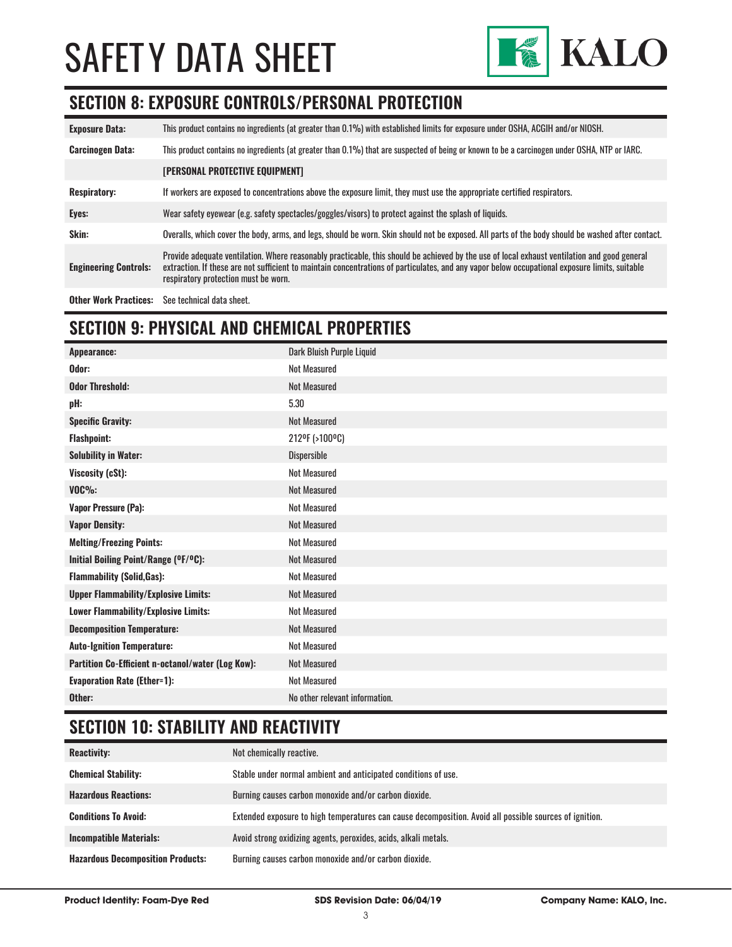# SAFET Y DATA SHEET



# **SECTION 8: EXPOSURE CONTROLS/PERSONAL PROTECTION**

| <b>Exposure Data:</b>        | This product contains no ingredients (at greater than 0.1%) with established limits for exposure under OSHA, ACGIH and/or NIOSH.                                                                                                                                                                                                       |
|------------------------------|----------------------------------------------------------------------------------------------------------------------------------------------------------------------------------------------------------------------------------------------------------------------------------------------------------------------------------------|
| <b>Carcinogen Data:</b>      | This product contains no ingredients (at greater than 0.1%) that are suspected of being or known to be a carcinogen under OSHA, NTP or IARC.                                                                                                                                                                                           |
|                              | <b>[PERSONAL PROTECTIVE EQUIPMENT]</b>                                                                                                                                                                                                                                                                                                 |
| <b>Respiratory:</b>          | If workers are exposed to concentrations above the exposure limit, they must use the appropriate certified respirators.                                                                                                                                                                                                                |
| Eyes:                        | Wear safety eyewear (e.g. safety spectacles/goggles/visors) to protect against the splash of liquids.                                                                                                                                                                                                                                  |
| Skin:                        | Overalls, which cover the body, arms, and legs, should be worn. Skin should not be exposed. All parts of the body should be washed after contact.                                                                                                                                                                                      |
| <b>Engineering Controls:</b> | Provide adequate ventilation. Where reasonably practicable, this should be achieved by the use of local exhaust ventilation and good general<br>extraction. If these are not sufficient to maintain concentrations of particulates, and any vapor below occupational exposure limits, suitable<br>respiratory protection must be worn. |

**Other Work Practices:** See technical data sheet.

### **SECTION 9: PHYSICAL AND CHEMICAL PROPERTIES**

| Appearance:                                       | Dark Bluish Purple Liquid      |
|---------------------------------------------------|--------------------------------|
| Odor:                                             | <b>Not Measured</b>            |
| <b>Odor Threshold:</b>                            | <b>Not Measured</b>            |
| pH:                                               | 5.30                           |
| <b>Specific Gravity:</b>                          | <b>Not Measured</b>            |
| <b>Flashpoint:</b>                                | 212ºF (>100°C)                 |
| <b>Solubility in Water:</b>                       | Dispersible                    |
| Viscosity (cSt):                                  | <b>Not Measured</b>            |
| <b>VOC%:</b>                                      | <b>Not Measured</b>            |
| <b>Vapor Pressure (Pa):</b>                       | <b>Not Measured</b>            |
| <b>Vapor Density:</b>                             | <b>Not Measured</b>            |
| <b>Melting/Freezing Points:</b>                   | <b>Not Measured</b>            |
| Initial Boiling Point/Range (°F/°C):              | <b>Not Measured</b>            |
| <b>Flammability (Solid, Gas):</b>                 | <b>Not Measured</b>            |
| <b>Upper Flammability/Explosive Limits:</b>       | <b>Not Measured</b>            |
| Lower Flammability/Explosive Limits:              | <b>Not Measured</b>            |
| <b>Decomposition Temperature:</b>                 | <b>Not Measured</b>            |
| <b>Auto-Ignition Temperature:</b>                 | <b>Not Measured</b>            |
| Partition Co-Efficient n-octanol/water (Log Kow): | <b>Not Measured</b>            |
| <b>Evaporation Rate (Ether=1):</b>                | <b>Not Measured</b>            |
| Other:                                            | No other relevant information. |

# **SECTION 10: STABILITY AND REACTIVITY**

| <b>Reactivity:</b>                       | Not chemically reactive.                                                                                |
|------------------------------------------|---------------------------------------------------------------------------------------------------------|
| <b>Chemical Stability:</b>               | Stable under normal ambient and anticipated conditions of use.                                          |
| <b>Hazardous Reactions:</b>              | Burning causes carbon monoxide and/or carbon dioxide.                                                   |
| <b>Conditions To Avoid:</b>              | Extended exposure to high temperatures can cause decomposition. Avoid all possible sources of ignition. |
| <b>Incompatible Materials:</b>           | Avoid strong oxidizing agents, peroxides, acids, alkali metals.                                         |
| <b>Hazardous Decomposition Products:</b> | Burning causes carbon monoxide and/or carbon dioxide.                                                   |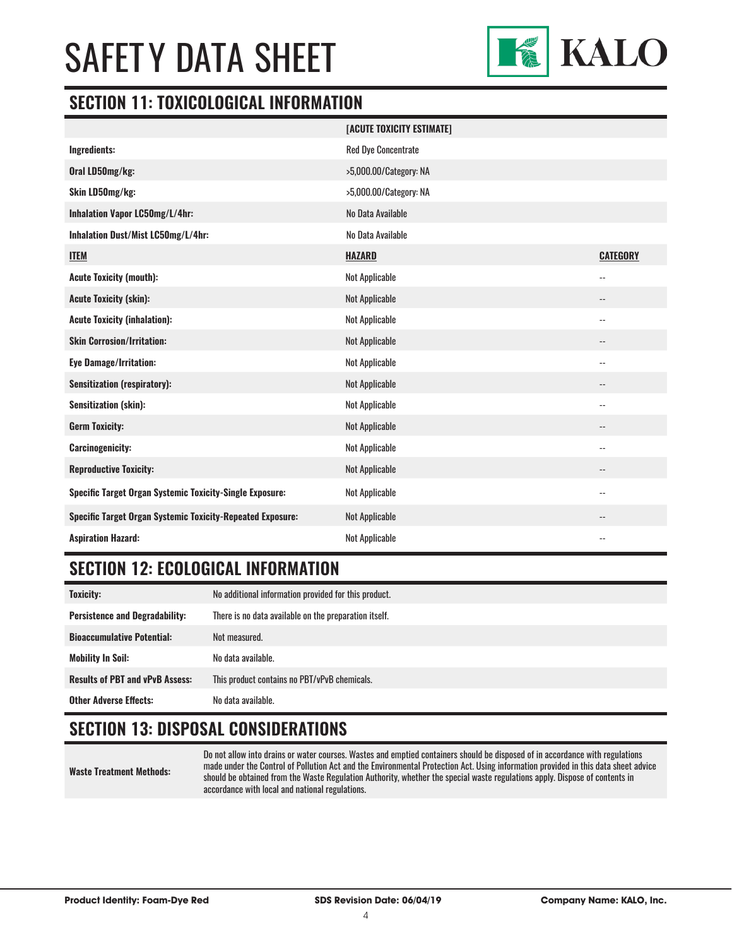# SAFET Y DATA SHEET



#### **SECTION 11: TOXICOLOGICAL INFORMATION**

|                                                                   | [ACUTE TOXICITY ESTIMATE]  |                            |
|-------------------------------------------------------------------|----------------------------|----------------------------|
| Ingredients:                                                      | <b>Red Dye Concentrate</b> |                            |
| Oral LD50mg/kg:                                                   | >5,000.00/Category: NA     |                            |
| Skin LD50mg/kg:                                                   | >5,000.00/Category: NA     |                            |
| Inhalation Vapor LC50mg/L/4hr:                                    | No Data Available          |                            |
| Inhalation Dust/Mist LC50mg/L/4hr:                                | No Data Available          |                            |
| <b>ITEM</b>                                                       | <b>HAZARD</b>              | <b>CATEGORY</b>            |
| <b>Acute Toxicity (mouth):</b>                                    | <b>Not Applicable</b>      | $-$                        |
| <b>Acute Toxicity (skin):</b>                                     | <b>Not Applicable</b>      | --                         |
| <b>Acute Toxicity (inhalation):</b>                               | Not Applicable             | $-$                        |
| <b>Skin Corrosion/Irritation:</b>                                 | <b>Not Applicable</b>      | $\overline{\phantom{a}}$   |
| <b>Eye Damage/Irritation:</b>                                     | <b>Not Applicable</b>      | $\overline{\phantom{a}}$   |
| <b>Sensitization (respiratory):</b>                               | <b>Not Applicable</b>      | --                         |
| <b>Sensitization (skin):</b>                                      | Not Applicable             | $-$                        |
| <b>Germ Toxicity:</b>                                             | <b>Not Applicable</b>      | $-$                        |
| <b>Carcinogenicity:</b>                                           | Not Applicable             | $-$                        |
| <b>Reproductive Toxicity:</b>                                     | <b>Not Applicable</b>      | $\overline{\phantom{a}}$   |
| <b>Specific Target Organ Systemic Toxicity-Single Exposure:</b>   | Not Applicable             | $-$                        |
| <b>Specific Target Organ Systemic Toxicity-Repeated Exposure:</b> | <b>Not Applicable</b>      | $\overline{\phantom{a}}$ . |
| <b>Aspiration Hazard:</b>                                         | <b>Not Applicable</b>      | $-$                        |

### **SECTION 12: ECOLOGICAL INFORMATION**

| <b>Toxicity:</b>                       | No additional information provided for this product.  |
|----------------------------------------|-------------------------------------------------------|
| <b>Persistence and Degradability:</b>  | There is no data available on the preparation itself. |
| <b>Bioaccumulative Potential:</b>      | Not measured.                                         |
| <b>Mobility In Soil:</b>               | No data available.                                    |
| <b>Results of PBT and vPvB Assess:</b> | This product contains no PBT/vPvB chemicals.          |
| <b>Other Adverse Effects:</b>          | No data available.                                    |

# **SECTION 13: DISPOSAL CONSIDERATIONS**

**Waste Treatment Methods:**

Do not allow into drains or water courses. Wastes and emptied containers should be disposed of in accordance with regulations made under the Control of Pollution Act and the Environmental Protection Act. Using information provided in this data sheet advice should be obtained from the Waste Regulation Authority, whether the special waste regulations apply. Dispose of contents in accordance with local and national regulations.